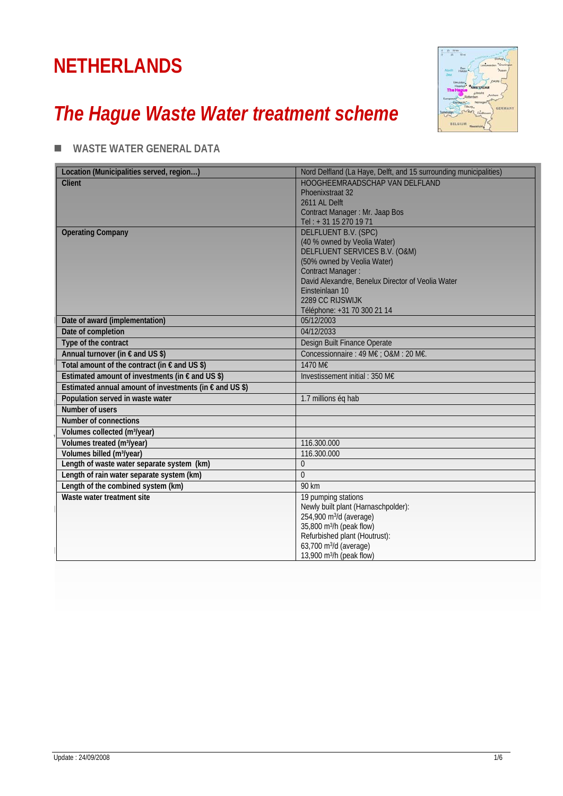# **NETHERLANDS**

# *The Hague Waste Water treatment scheme*



### **WASTE WATER GENERAL DATA**

| Location (Municipalities served, region)                         | Nord Delfland (La Haye, Delft, and 15 surrounding municipalities)     |
|------------------------------------------------------------------|-----------------------------------------------------------------------|
| <b>Client</b>                                                    | HOOGHEEMRAADSCHAP VAN DELFLAND                                        |
|                                                                  | Phoenixstraat 32                                                      |
|                                                                  | 2611 AL Delft                                                         |
|                                                                  | Contract Manager: Mr. Jaap Bos                                        |
|                                                                  | Tel: +31 15 270 19 71                                                 |
| <b>Operating Company</b>                                         | <b>DELFLUENT B.V. (SPC)</b>                                           |
|                                                                  | (40 % owned by Veolia Water)<br>DELFLUENT SERVICES B.V. (O&M)         |
|                                                                  | (50% owned by Veolia Water)                                           |
|                                                                  | <b>Contract Manager:</b>                                              |
|                                                                  | David Alexandre, Benelux Director of Veolia Water                     |
|                                                                  | Einsteinlaan 10                                                       |
|                                                                  | 2289 CC RIJSWIJK                                                      |
|                                                                  | Téléphone: +31 70 300 21 14                                           |
| Date of award (implementation)                                   | 05/12/2003                                                            |
| Date of completion                                               | 04/12/2033                                                            |
| Type of the contract                                             | Design Built Finance Operate                                          |
| Annual turnover (in € and US \$)                                 | Concessionnaire : 49 M€ ; O&M : 20 M€.                                |
| Total amount of the contract (in $\epsilon$ and US \$)           | 1470 M€                                                               |
| Estimated amount of investments (in $\epsilon$ and US \$)        | Investissement initial: 350 M $\epsilon$                              |
| Estimated annual amount of investments (in $\epsilon$ and US \$) |                                                                       |
| Population served in waste water                                 | 1.7 millions ég hab                                                   |
| Number of users                                                  |                                                                       |
| Number of connections                                            |                                                                       |
| Volumes collected (m <sup>3</sup> /year)                         |                                                                       |
| Volumes treated (m <sup>3</sup> /year)                           | 116.300.000                                                           |
| Volumes billed (m <sup>3</sup> /year)                            | 116.300.000                                                           |
| Length of waste water separate system (km)                       | $\Omega$                                                              |
| Length of rain water separate system (km)                        | $\theta$                                                              |
| Length of the combined system (km)                               | 90 km                                                                 |
| Waste water treatment site                                       | 19 pumping stations                                                   |
|                                                                  | Newly built plant (Harnaschpolder):                                   |
|                                                                  | 254,900 m <sup>3</sup> /d (average)                                   |
|                                                                  | 35,800 m <sup>3</sup> /h (peak flow)<br>Refurbished plant (Houtrust): |
|                                                                  | 63,700 m <sup>3</sup> /d (average)                                    |
|                                                                  | 13,900 m <sup>3</sup> /h (peak flow)                                  |
|                                                                  |                                                                       |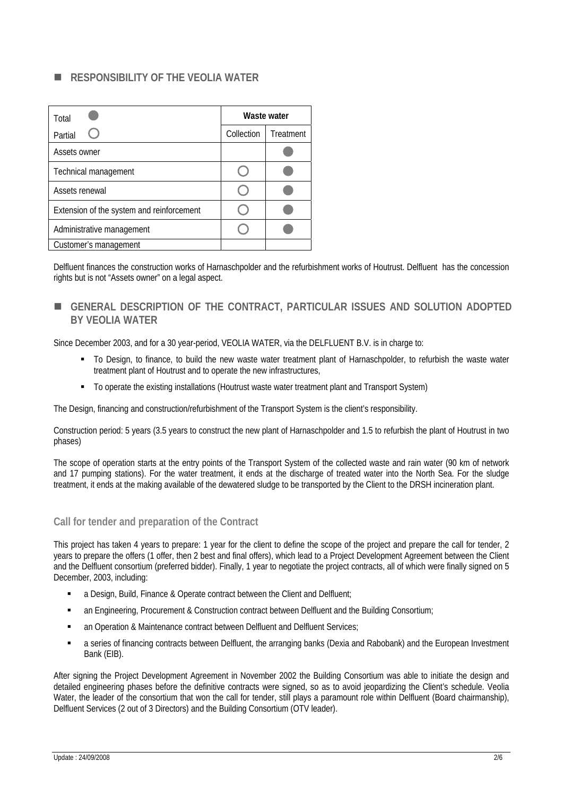#### **RESPONSIBILITY OF THE VEOLIA WATER**

| Total                                     | Waste water |           |  |  |
|-------------------------------------------|-------------|-----------|--|--|
| Partial                                   | Collection  | Treatment |  |  |
| Assets owner                              |             |           |  |  |
| Technical management                      |             |           |  |  |
| Assets renewal                            |             |           |  |  |
| Extension of the system and reinforcement |             |           |  |  |
| Administrative management                 |             |           |  |  |
| Customer's management                     |             |           |  |  |

Delfluent finances the construction works of Harnaschpolder and the refurbishment works of Houtrust. Delfluent has the concession rights but is not "Assets owner" on a legal aspect.

 **GENERAL DESCRIPTION OF THE CONTRACT, PARTICULAR ISSUES AND SOLUTION ADOPTED BY VEOLIA WATER** 

Since December 2003, and for a 30 year-period, VEOLIA WATER, via the DELFLUENT B.V. is in charge to:

- To Design, to finance, to build the new waste water treatment plant of Harnaschpolder, to refurbish the waste water treatment plant of Houtrust and to operate the new infrastructures,
- To operate the existing installations (Houtrust waste water treatment plant and Transport System)

The Design, financing and construction/refurbishment of the Transport System is the client's responsibility.

Construction period: 5 years (3.5 years to construct the new plant of Harnaschpolder and 1.5 to refurbish the plant of Houtrust in two phases)

The scope of operation starts at the entry points of the Transport System of the collected waste and rain water (90 km of network and 17 pumping stations). For the water treatment, it ends at the discharge of treated water into the North Sea. For the sludge treatment, it ends at the making available of the dewatered sludge to be transported by the Client to the DRSH incineration plant.

#### **Call for tender and preparation of the Contract**

This project has taken 4 years to prepare: 1 year for the client to define the scope of the project and prepare the call for tender, 2 years to prepare the offers (1 offer, then 2 best and final offers), which lead to a Project Development Agreement between the Client and the Delfluent consortium (preferred bidder). Finally, 1 year to negotiate the project contracts, all of which were finally signed on 5 December, 2003, including:

- a Design, Build, Finance & Operate contract between the Client and Delfluent;
- an Engineering, Procurement & Construction contract between Delfluent and the Building Consortium;
- an Operation & Maintenance contract between Delfluent and Delfluent Services;
- a series of financing contracts between Delfluent, the arranging banks (Dexia and Rabobank) and the European Investment Bank (EIB).

After signing the Project Development Agreement in November 2002 the Building Consortium was able to initiate the design and detailed engineering phases before the definitive contracts were signed, so as to avoid jeopardizing the Client's schedule. Veolia Water, the leader of the consortium that won the call for tender, still plays a paramount role within Delfluent (Board chairmanship), Delfluent Services (2 out of 3 Directors) and the Building Consortium (OTV leader).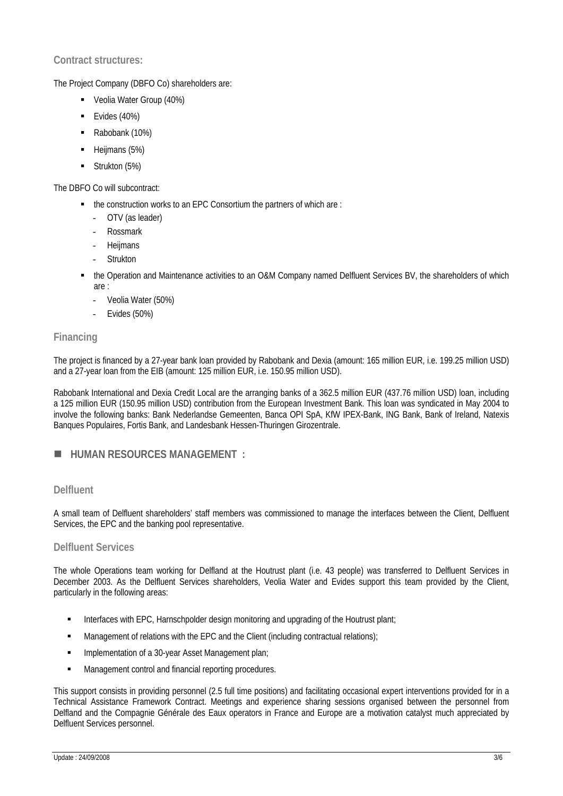#### **Contract structures:**

The Project Company (DBFO Co) shareholders are:

- Veolia Water Group (40%)
- Evides (40%)
- Rabobank (10%)
- Heijmans (5%)
- Strukton (5%)

The DBFO Co will subcontract:

- the construction works to an EPC Consortium the partners of which are :
	- OTV (as leader)
	- Rossmark
	- **Heijmans**
	- **Strukton**
- the Operation and Maintenance activities to an O&M Company named Delfluent Services BV, the shareholders of which are :
	- Veolia Water (50%)
	- Evides (50%)

#### **Financing**

The project is financed by a 27-year bank loan provided by Rabobank and Dexia (amount: 165 million EUR, i.e. 199.25 million USD) and a 27-year loan from the EIB (amount: 125 million EUR, i.e. 150.95 million USD).

Rabobank International and Dexia Credit Local are the arranging banks of a 362.5 million EUR (437.76 million USD) loan, including a 125 million EUR (150.95 million USD) contribution from the European Investment Bank. This loan was syndicated in May 2004 to involve the following banks: Bank Nederlandse Gemeenten, Banca OPI SpA, KfW IPEX-Bank, ING Bank, Bank of Ireland, Natexis Banques Populaires, Fortis Bank, and Landesbank Hessen-Thuringen Girozentrale.

#### **HUMAN RESOURCES MANAGEMENT :**

#### **Delfluent**

A small team of Delfluent shareholders' staff members was commissioned to manage the interfaces between the Client, Delfluent Services, the EPC and the banking pool representative.

#### **Delfluent Services**

The whole Operations team working for Delfland at the Houtrust plant (i.e. 43 people) was transferred to Delfluent Services in December 2003. As the Delfluent Services shareholders, Veolia Water and Evides support this team provided by the Client, particularly in the following areas:

- Interfaces with EPC, Harnschpolder design monitoring and upgrading of the Houtrust plant;
- **Management of relations with the EPC and the Client (including contractual relations)**;
- **Implementation of a 30-year Asset Management plan;**
- Management control and financial reporting procedures.

This support consists in providing personnel (2.5 full time positions) and facilitating occasional expert interventions provided for in a Technical Assistance Framework Contract. Meetings and experience sharing sessions organised between the personnel from Delfland and the Compagnie Générale des Eaux operators in France and Europe are a motivation catalyst much appreciated by Delfluent Services personnel.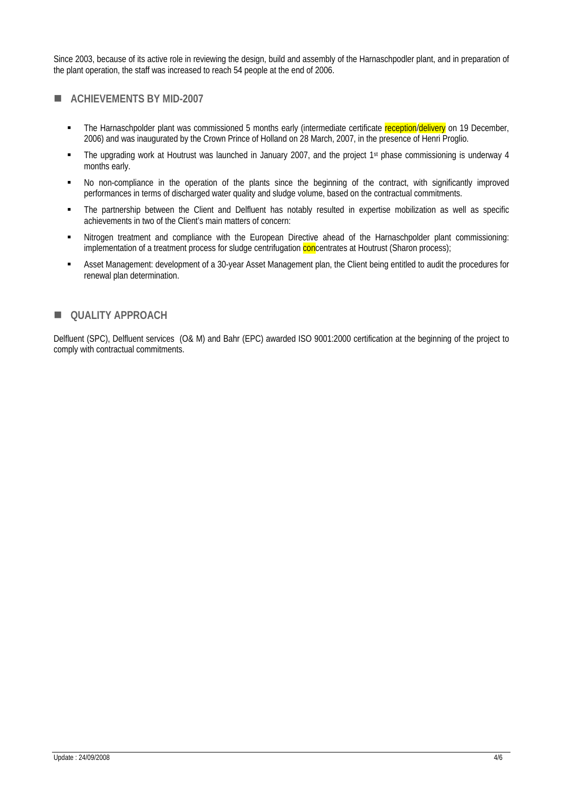Since 2003, because of its active role in reviewing the design, build and assembly of the Harnaschpodler plant, and in preparation of the plant operation, the staff was increased to reach 54 people at the end of 2006.

#### **ACHIEVEMENTS BY MID-2007**

- The Harnaschpolder plant was commissioned 5 months early (intermediate certificate reception/delivery on 19 December, 2006) and was inaugurated by the Crown Prince of Holland on 28 March, 2007, in the presence of Henri Proglio.
- The upgrading work at Houtrust was launched in January 2007, and the project 1<sup>st</sup> phase commissioning is underway 4 months early.
- No non-compliance in the operation of the plants since the beginning of the contract, with significantly improved performances in terms of discharged water quality and sludge volume, based on the contractual commitments.
- The partnership between the Client and Delfluent has notably resulted in expertise mobilization as well as specific achievements in two of the Client's main matters of concern:
- Nitrogen treatment and compliance with the European Directive ahead of the Harnaschpolder plant commissioning: implementation of a treatment process for sludge centrifugation concentrates at Houtrust (Sharon process);
- Asset Management: development of a 30-year Asset Management plan, the Client being entitled to audit the procedures for renewal plan determination.

#### $\blacksquare$  **QUALITY APPROACH**

Delfluent (SPC), Delfluent services (O& M) and Bahr (EPC) awarded ISO 9001:2000 certification at the beginning of the project to comply with contractual commitments.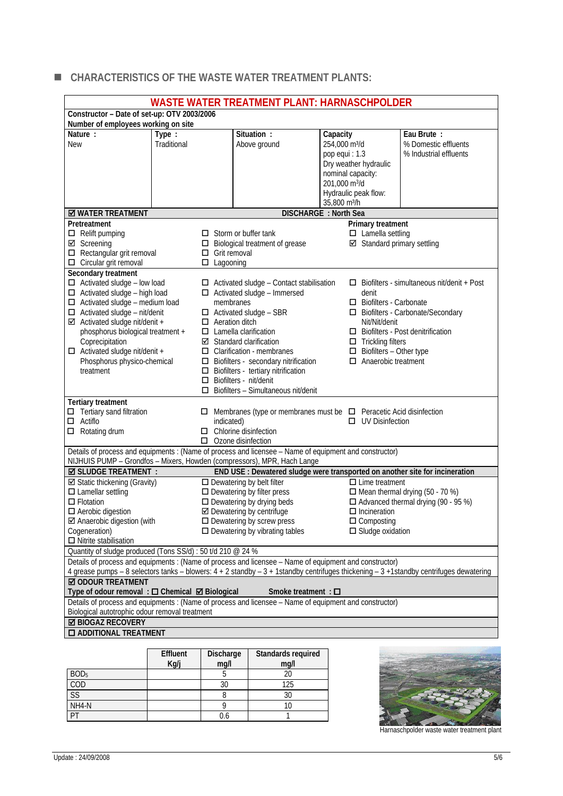### **CHARACTERISTICS OF THE WASTE WATER TREATMENT PLANTS:**

| <b>WASTE WATER TREATMENT PLANT: HARNASCHPOLDER</b>                                                                                                                                                                                                                                                                                                                      |                      |                                         |                                                                                                                                                                                                                                                                                                                                                                                                         |  |                                                                                                                                       |                                                                                                                                                |                                                                                                                                     |
|-------------------------------------------------------------------------------------------------------------------------------------------------------------------------------------------------------------------------------------------------------------------------------------------------------------------------------------------------------------------------|----------------------|-----------------------------------------|---------------------------------------------------------------------------------------------------------------------------------------------------------------------------------------------------------------------------------------------------------------------------------------------------------------------------------------------------------------------------------------------------------|--|---------------------------------------------------------------------------------------------------------------------------------------|------------------------------------------------------------------------------------------------------------------------------------------------|-------------------------------------------------------------------------------------------------------------------------------------|
| Constructor - Date of set-up: OTV 2003/2006                                                                                                                                                                                                                                                                                                                             |                      |                                         |                                                                                                                                                                                                                                                                                                                                                                                                         |  |                                                                                                                                       |                                                                                                                                                |                                                                                                                                     |
| Number of employees working on site                                                                                                                                                                                                                                                                                                                                     |                      |                                         |                                                                                                                                                                                                                                                                                                                                                                                                         |  |                                                                                                                                       |                                                                                                                                                |                                                                                                                                     |
| Nature:<br><b>New</b>                                                                                                                                                                                                                                                                                                                                                   | Type:<br>Traditional |                                         | Situation:<br>Above ground                                                                                                                                                                                                                                                                                                                                                                              |  | Capacity<br>254,000 m <sup>3</sup> /d<br>pop equi : 1.3<br>nominal capacity:<br>201,000 m <sup>3</sup> /d<br>35,800 m <sup>3</sup> /h | Dry weather hydraulic<br>Hydraulic peak flow:                                                                                                  | Eau Brute:<br>% Domestic effluents<br>% Industrial effluents                                                                        |
| <b>Ø WATER TREATMENT</b>                                                                                                                                                                                                                                                                                                                                                |                      |                                         | DISCHARGE : North Sea                                                                                                                                                                                                                                                                                                                                                                                   |  |                                                                                                                                       |                                                                                                                                                |                                                                                                                                     |
| Pretreatment<br>$\Box$ Relift pumping<br>☑ Screening<br>$\Box$ Rectangular grit removal<br>$\Box$ Circular grit removal                                                                                                                                                                                                                                                 |                      | $\Box$ Grit removal<br>$\Box$ Lagooning | $\Box$ Storm or buffer tank<br>$\Box$ Biological treatment of grease                                                                                                                                                                                                                                                                                                                                    |  |                                                                                                                                       | Primary treatment<br>$\Box$ Lamella settling<br>☑ Standard primary settling                                                                    |                                                                                                                                     |
| Secondary treatment<br>$\Box$ Activated sludge - low load<br>$\Box$ Activated sludge - high load<br>$\Box$ Activated sludge - medium load<br>$\Box$ Activated sludge - nit/denit<br>$\boxtimes$ Activated sludge nit/denit +<br>phosphorus biological treatment +<br>Coprecipitation<br>$\Box$ Activated sludge nit/denit +<br>Phosphorus physico-chemical<br>treatment |                      | membranes<br>$\Box$ Aeration ditch      | $\Box$ Activated sludge - Contact stabilisation<br>$\Box$ Activated sludge - Immersed<br>$\Box$ Activated sludge - SBR<br>$\Box$ Lamella clarification<br>$\boxtimes$ Standard clarification<br>$\Box$ Clarification - membranes<br>$\Box$ Biofilters - secondary nitrification<br>$\Box$ Biofilters - tertiary nitrification<br>□ Biofilters - nit/denit<br>$\Box$ Biofilters - Simultaneous nit/denit |  |                                                                                                                                       | denit<br>□ Biofilters - Carbonate<br>Nit/Nit/denit<br>$\Box$ Trickling filters<br>$\Box$ Biofilters - Other type<br>$\Box$ Anaerobic treatment | $\Box$ Biofilters - simultaneous nit/denit + Post<br>□ Biofilters - Carbonate/Secondary<br>$\Box$ Biofilters - Post denitrification |
| <b>Tertiary treatment</b><br>$\Box$ Tertiary sand filtration<br>$\Box$ Actiflo<br>$\Box$ Rotating drum                                                                                                                                                                                                                                                                  |                      | indicated)                              | $\Box$ Membranes (type or membranes must be $\Box$ Peracetic Acid disinfection<br>$\Box$ Chlorine disinfection<br>$\Box$ Ozone disinfection                                                                                                                                                                                                                                                             |  |                                                                                                                                       | $\Box$ UV Disinfection                                                                                                                         |                                                                                                                                     |
| Details of process and equipments : (Name of process and licensee - Name of equipment and constructor)<br>NIJHUIS PUMP - Grondfos - Mixers, Howden (compressors), MPR, Hach Lange                                                                                                                                                                                       |                      |                                         |                                                                                                                                                                                                                                                                                                                                                                                                         |  |                                                                                                                                       |                                                                                                                                                |                                                                                                                                     |
| <b>Ø SLUDGE TREATMENT :</b>                                                                                                                                                                                                                                                                                                                                             |                      |                                         | END USE : Dewatered sludge were transported on another site for incineration                                                                                                                                                                                                                                                                                                                            |  |                                                                                                                                       |                                                                                                                                                |                                                                                                                                     |
| ☑ Static thickening (Gravity)<br>$\Box$ Lamellar settling<br>$\Box$ Flotation<br>$\Box$ Aerobic digestion<br>☑ Anaerobic digestion (with<br>Cogeneration)<br>$\Box$ Nitrite stabilisation                                                                                                                                                                               |                      |                                         | $\Box$ Dewatering by belt filter<br>$\square$ Dewatering by filter press<br>$\Box$ Dewatering by drying beds<br>☑ Dewatering by centrifuge<br>$\Box$ Dewatering by screw press<br>$\Box$ Dewatering by vibrating tables                                                                                                                                                                                 |  |                                                                                                                                       | $\Box$ Lime treatment<br>$\Box$ Incineration<br>$\Box$ Composting<br>$\square$ Sludge oxidation                                                | $\Box$ Mean thermal drying (50 - 70 %)<br>$\Box$ Advanced thermal drying (90 - 95 %)                                                |
| Quantity of sludge produced (Tons SS/d) : 50 t/d 210 @ 24 %                                                                                                                                                                                                                                                                                                             |                      |                                         |                                                                                                                                                                                                                                                                                                                                                                                                         |  |                                                                                                                                       |                                                                                                                                                |                                                                                                                                     |
| Details of process and equipments : (Name of process and licensee - Name of equipment and constructor)                                                                                                                                                                                                                                                                  |                      |                                         |                                                                                                                                                                                                                                                                                                                                                                                                         |  |                                                                                                                                       |                                                                                                                                                |                                                                                                                                     |
| 4 grease pumps - 8 selectors tanks - blowers: 4 + 2 standby - 3 + 1standby centrifuges thickening - 3 +1standby centrifuges dewatering<br><b>☑ ODOUR TREATMENT</b>                                                                                                                                                                                                      |                      |                                         |                                                                                                                                                                                                                                                                                                                                                                                                         |  |                                                                                                                                       |                                                                                                                                                |                                                                                                                                     |
| Type of odour removal : □ Chemical Ø Biological<br>Smoke treatment : $\square$                                                                                                                                                                                                                                                                                          |                      |                                         |                                                                                                                                                                                                                                                                                                                                                                                                         |  |                                                                                                                                       |                                                                                                                                                |                                                                                                                                     |
| Details of process and equipments : (Name of process and licensee - Name of equipment and constructor)<br>Biological autotrophic odour removal treatment                                                                                                                                                                                                                |                      |                                         |                                                                                                                                                                                                                                                                                                                                                                                                         |  |                                                                                                                                       |                                                                                                                                                |                                                                                                                                     |
| <b>Ø BIOGAZ RECOVERY</b>                                                                                                                                                                                                                                                                                                                                                |                      |                                         |                                                                                                                                                                                                                                                                                                                                                                                                         |  |                                                                                                                                       |                                                                                                                                                |                                                                                                                                     |
| <b>O ADDITIONAL TREATMENT</b>                                                                                                                                                                                                                                                                                                                                           |                      |                                         |                                                                                                                                                                                                                                                                                                                                                                                                         |  |                                                                                                                                       |                                                                                                                                                |                                                                                                                                     |

|                        | Effluent<br>Kg/j | Discharge<br>mg/l | Standards required<br>mg/l |
|------------------------|------------------|-------------------|----------------------------|
| BOD <sub>5</sub>       |                  |                   |                            |
| COD                    |                  |                   | 125                        |
| $\overline{\text{SS}}$ |                  |                   |                            |
| NH4-N                  |                  |                   |                            |
| DT                     |                  |                   |                            |



Harnaschpolder waste water treatment plant